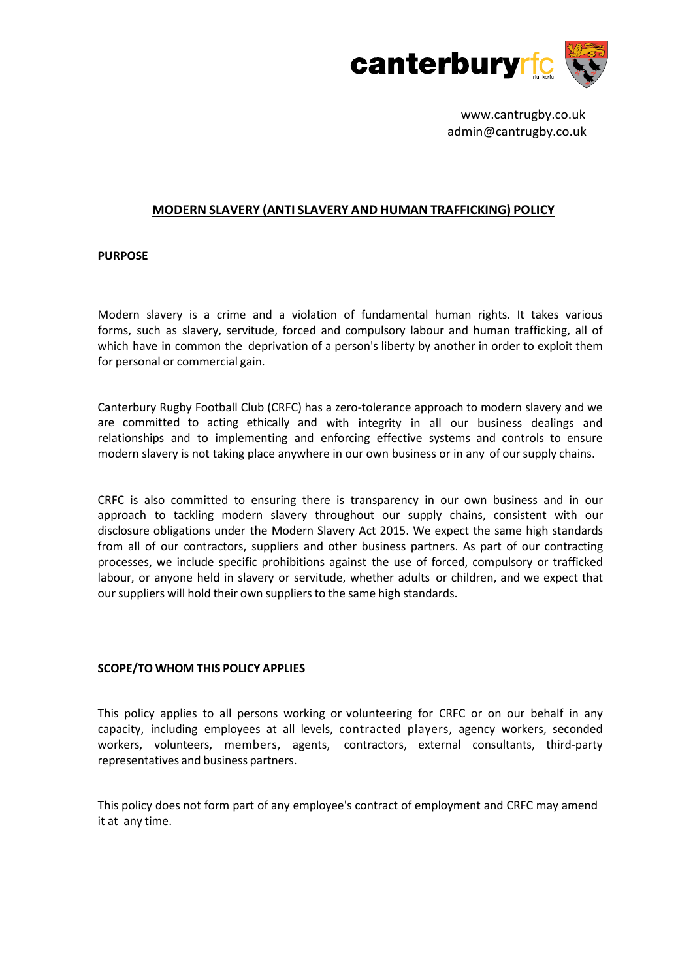

www.cantrugby.co.uk admin@cantrugby.co.uk

# **MODERN SLAVERY (ANTI SLAVERY AND HUMAN TRAFFICKING) POLICY**

### **PURPOSE**

Modern slavery is a crime and a violation of fundamental human rights. It takes various forms, such as slavery, servitude, forced and compulsory labour and human trafficking, all of which have in common the deprivation of a person's liberty by another in order to exploit them for personal or commercial gain.

Canterbury Rugby Football Club (CRFC) has a zero-tolerance approach to modern slavery and we are committed to acting ethically and with integrity in all our business dealings and relationships and to implementing and enforcing effective systems and controls to ensure modern slavery is not taking place anywhere in our own business or in any of oursupply chains.

CRFC is also committed to ensuring there is transparency in our own business and in our approach to tackling modern slavery throughout our supply chains, consistent with our disclosure obligations under the Modern Slavery Act 2015. We expect the same high standards from all of our contractors, suppliers and other business partners. As part of our contracting processes, we include specific prohibitions against the use of forced, compulsory or trafficked labour, or anyone held in slavery or servitude, whether adults or children, and we expect that our suppliers will hold their own suppliers to the same high standards.

## **SCOPE/TO WHOM THIS POLICY APPLIES**

This policy applies to all persons working or volunteering for CRFC or on our behalf in any capacity, including employees at all levels, contracted players, agency workers, seconded workers, volunteers, members, agents, contractors, external consultants, third-party representatives and business partners.

This policy does not form part of any employee's contract of employment and CRFC may amend it at any time.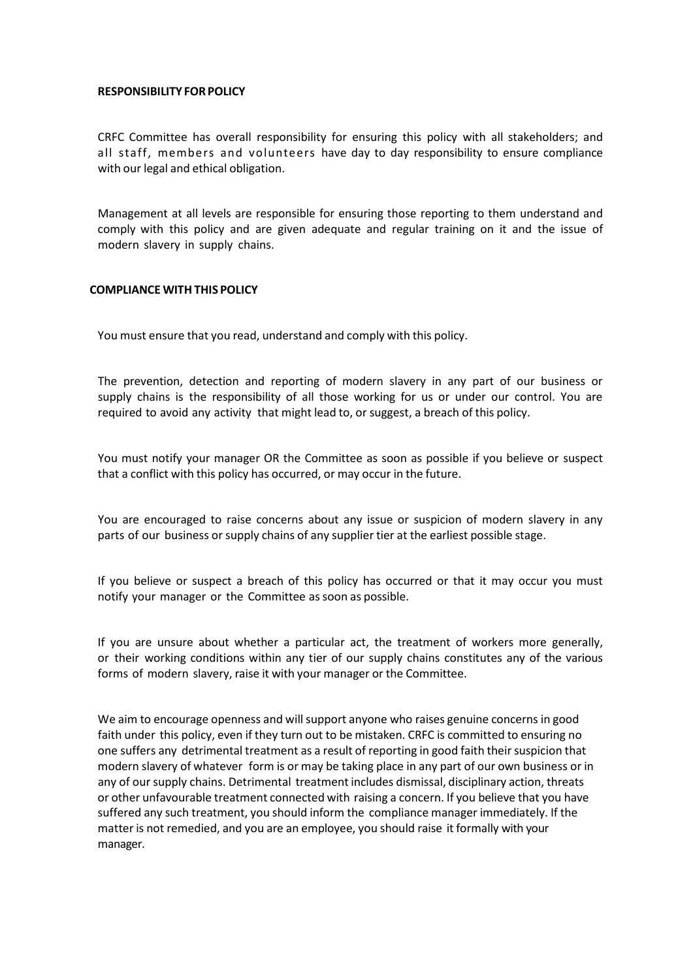#### **RESPONSIBILITY FOR POLICY**

CRFC Committee has overall responsibility for ensuring this policy with all stakeholders; and all staff, members and volunteers have day to day responsibility to ensure compliance with our legal and ethical obligation.

Management at all levels are responsible for ensuring those reporting to them understand and comply with this policy and are given adequate and regular training on it and the issue of modern slavery in supply chains.

#### **COMPLIANCE WITH THIS POLICY**

You must ensure that you read, understand and comply with this policy.

The prevention, detection and reporting of modern slavery in any part of our business or supply chains is the responsibility of all those working for us or under our control. You are required to avoid any activity that might lead to, or suggest, a breach of this policy.

You must notify your manager OR the Committee as soon as possible if you believe or suspect that a conflict with this policy has occurred, or may occur in the future.

You are encouraged to raise concerns about any issue or suspicion of modern slavery in any parts of our business orsupply chains of any supplier tier at the earliest possible stage.

If you believe or suspect a breach of this policy has occurred or that it may occur you must notify your manager or the Committee as soon as possible.

If you are unsure about whether a particular act, the treatment of workers more generally, or their working conditions within any tier of our supply chains constitutes any of the various forms of modern slavery, raise it with your manager or the Committee.

We aim to encourage openness and will support anyone who raises genuine concerns in good faith under this policy, even if they turn out to be mistaken. CRFC is committed to ensuring no one suffers any detrimental treatment as a result of reporting in good faith their suspicion that modern slavery of whatever form is or may be taking place in any part of our own business or in any of our supply chains. Detrimental treatment includes dismissal, disciplinary action, threats or other unfavourable treatment connected with raising a concern. If you believe that you have suffered any such treatment, you should inform the compliance manager immediately. If the matter is not remedied, and you are an employee, you should raise it formally with your manager.